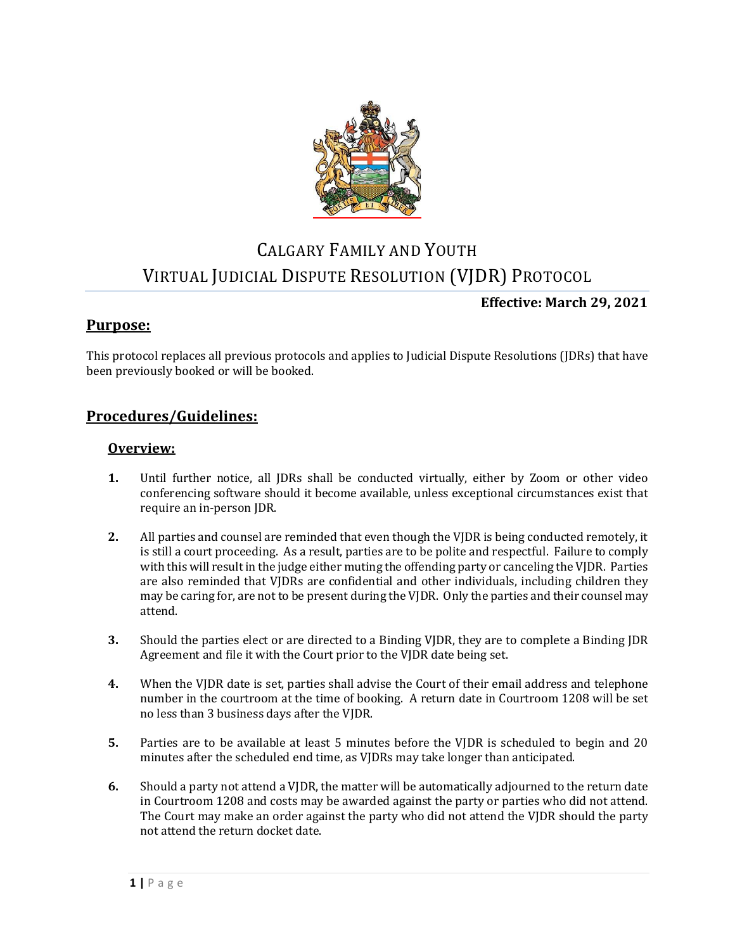

# CALGARY FAMILY AND YOUTH VIRTUAL JUDICIAL DISPUTE RESOLUTION (VJDR) PROTOCOL

### **Effective: March 29, 2021**

## **Purpose:**

This protocol replaces all previous protocols and applies to Judicial Dispute Resolutions (JDRs) that have been previously booked or will be booked.

### **Procedures/Guidelines:**

#### **Overview:**

- **1.** Until further notice, all JDRs shall be conducted virtually, either by Zoom or other video conferencing software should it become available, unless exceptional circumstances exist that require an in-person JDR.
- **2.** All parties and counsel are reminded that even though the VJDR is being conducted remotely, it is still a court proceeding. As a result, parties are to be polite and respectful. Failure to comply with this will result in the judge either muting the offending party or canceling the VJDR. Parties are also reminded that VJDRs are confidential and other individuals, including children they may be caring for, are not to be present during the VJDR. Only the parties and their counsel may attend.
- **3.** Should the parties elect or are directed to a Binding VJDR, they are to complete a Binding JDR Agreement and file it with the Court prior to the VJDR date being set.
- **4.** When the VJDR date is set, parties shall advise the Court of their email address and telephone number in the courtroom at the time of booking. A return date in Courtroom 1208 will be set no less than 3 business days after the VJDR.
- **5.** Parties are to be available at least 5 minutes before the VJDR is scheduled to begin and 20 minutes after the scheduled end time, as VJDRs may take longer than anticipated.
- **6.** Should a party not attend a VJDR, the matter will be automatically adjourned to the return date in Courtroom 1208 and costs may be awarded against the party or parties who did not attend. The Court may make an order against the party who did not attend the VJDR should the party not attend the return docket date.